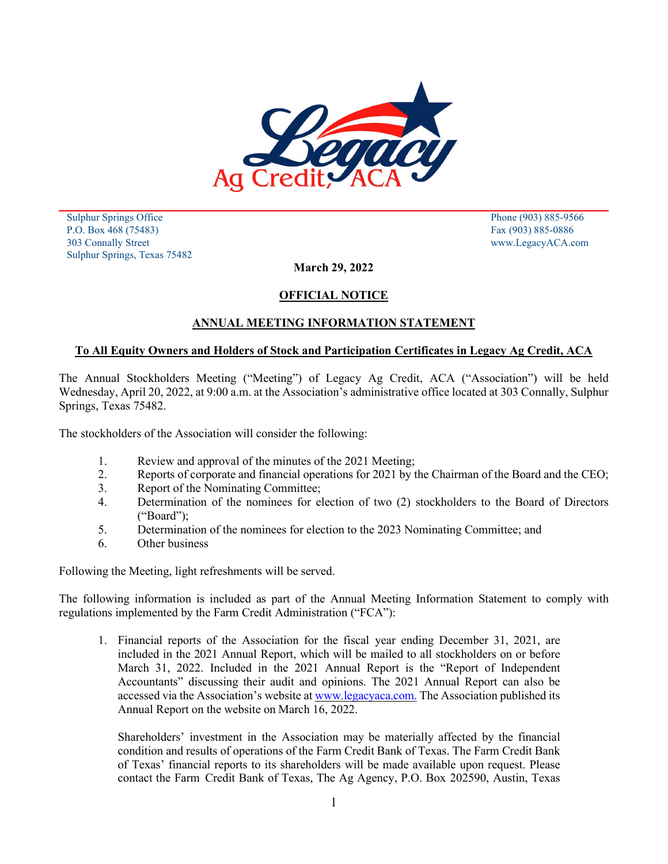

 Sulphur Springs Office Phone (903) 885-9566 P.O. Box 468 (75483) Fax (903) 885-0886 303 Connally Street www.LegacyACA.com Sulphur Springs, Texas 75482

**March 29, 2022**

## **OFFICIAL NOTICE**

## **ANNUAL MEETING INFORMATION STATEMENT**

#### **To All Equity Owners and Holders of Stock and Participation Certificates in Legacy Ag Credit, ACA**

The Annual Stockholders Meeting ("Meeting") of Legacy Ag Credit, ACA ("Association") will be held Wednesday, April 20, 2022, at 9:00 a.m. at the Association's administrative office located at 303 Connally, Sulphur Springs, Texas 75482.

The stockholders of the Association will consider the following:

- 1. Review and approval of the minutes of the 2021 Meeting;
- 2. Reports of corporate and financial operations for 2021 by the Chairman of the Board and the CEO;
- 3. Report of the Nominating Committee;
- 4. Determination of the nominees for election of two (2) stockholders to the Board of Directors ("Board");
- 5. Determination of the nominees for election to the 2023 Nominating Committee; and
- 6. Other business

Following the Meeting, light refreshments will be served.

The following information is included as part of the Annual Meeting Information Statement to comply with regulations implemented by the Farm Credit Administration ("FCA"):

1. Financial reports of the Association for the fiscal year ending December 31, 2021, are included in the 2021 Annual Report, which will be mailed to all stockholders on or before March 31, 2022. Included in the 2021 Annual Report is the "Report of Independent Accountants" discussing their audit and opinions. The 2021 Annual Report can also be accessed via the Association's website at [www.legacyaca.com.](http://www.legacyaca.com./) The Association published its Annual Report on the website on March 16, 2022.

Shareholders' investment in the Association may be materially affected by the financial condition and results of operations of the Farm Credit Bank of Texas. The Farm Credit Bank of Texas' financial reports to its shareholders will be made available upon request. Please contact the Farm Credit Bank of Texas, The Ag Agency, P.O. Box 202590, Austin, Texas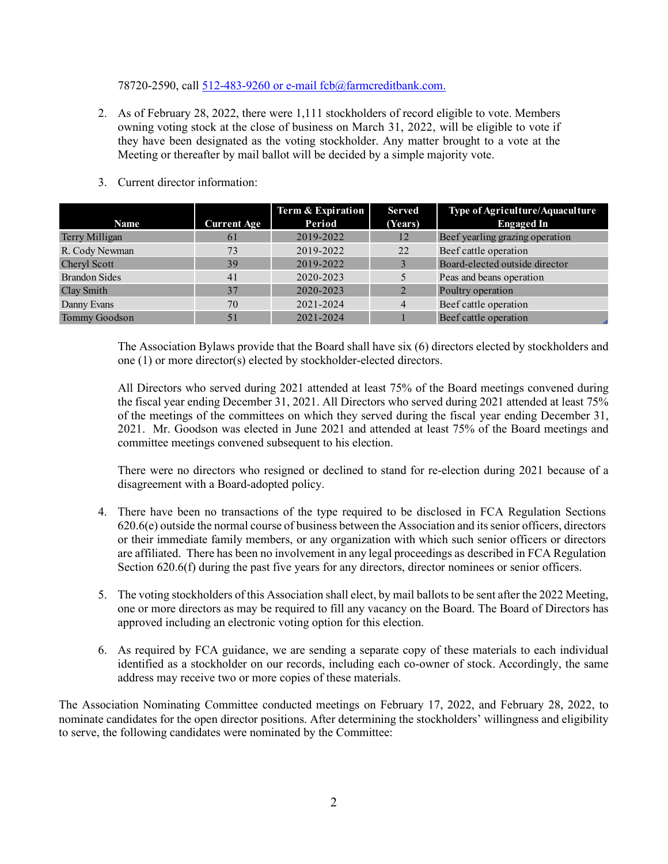78720-2590, call [512-483-9260 or e-mail fcb@farmcreditbank.com.](mailto:512-483-9260%20or%20e-mail%20fcb@farmcreditbank.com.)

2. As of February 28, 2022, there were 1,111 stockholders of record eligible to vote. Members owning voting stock at the close of business on March 31, 2022, will be eligible to vote if they have been designated as the voting stockholder. Any matter brought to a vote at the Meeting or thereafter by mail ballot will be decided by a simple majority vote.

|                      |                    | Term & Expiration | <b>Served</b>  | Type of Agriculture/Aquaculture |
|----------------------|--------------------|-------------------|----------------|---------------------------------|
| <b>Name</b>          | <b>Current Age</b> | Period            | (Years)        | <b>Engaged In</b>               |
| Terry Milligan       | 61                 | 2019-2022         | 12             | Beef yearling grazing operation |
| R. Cody Newman       | 73                 | 2019-2022         | 22             | Beef cattle operation           |
| Cheryl Scott         | 39                 | 2019-2022         |                | Board-elected outside director  |
| <b>Brandon Sides</b> | 41                 | 2020-2023         |                | Peas and beans operation        |
| Clay Smith           | 37                 | 2020-2023         |                | Poultry operation               |
| Danny Evans          | 70                 | 2021-2024         | $\overline{4}$ | Beef cattle operation           |
| Tommy Goodson        | 51                 | 2021-2024         |                | Beef cattle operation           |

3. Current director information:

The Association Bylaws provide that the Board shall have six (6) directors elected by stockholders and one (1) or more director(s) elected by stockholder-elected directors.

All Directors who served during 2021 attended at least 75% of the Board meetings convened during the fiscal year ending December 31, 2021. All Directors who served during 2021 attended at least 75% of the meetings of the committees on which they served during the fiscal year ending December 31, 2021. Mr. Goodson was elected in June 2021 and attended at least 75% of the Board meetings and committee meetings convened subsequent to his election.

There were no directors who resigned or declined to stand for re-election during 2021 because of a disagreement with a Board-adopted policy.

- 4. There have been no transactions of the type required to be disclosed in FCA Regulation Sections 620.6(e) outside the normal course of business between the Association and itssenior officers, directors or their immediate family members, or any organization with which such senior officers or directors are affiliated. There has been no involvement in any legal proceedings as described in FCA Regulation Section 620.6(f) during the past five years for any directors, director nominees or senior officers.
- 5. The voting stockholders of this Association shall elect, by mail ballots to be sent after the 2022 Meeting, one or more directors as may be required to fill any vacancy on the Board. The Board of Directors has approved including an electronic voting option for this election.
- 6. As required by FCA guidance, we are sending a separate copy of these materials to each individual identified as a stockholder on our records, including each co-owner of stock. Accordingly, the same address may receive two or more copies of these materials.

The Association Nominating Committee conducted meetings on February 17, 2022, and February 28, 2022, to nominate candidates for the open director positions. After determining the stockholders' willingness and eligibility to serve, the following candidates were nominated by the Committee: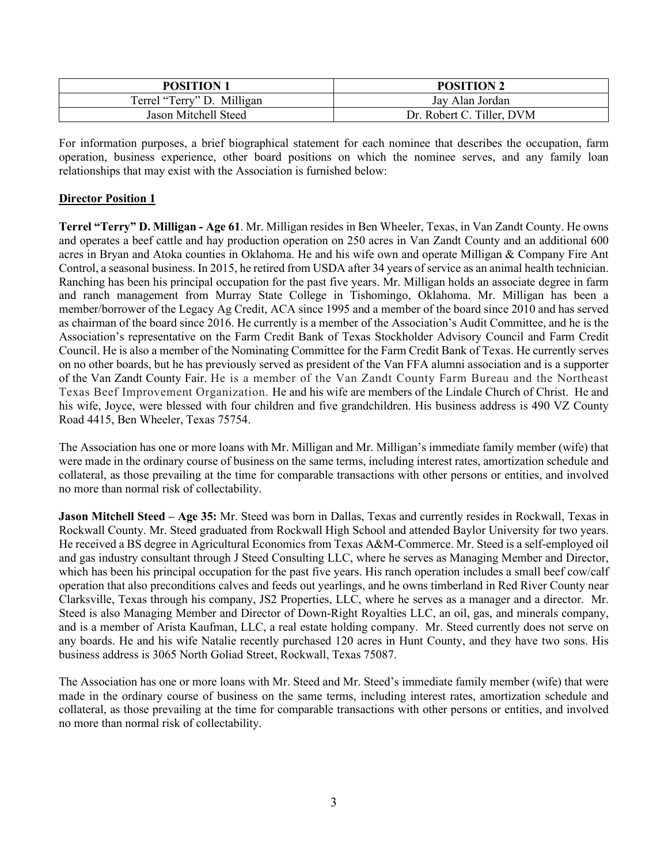| <b>POSITION 1</b>          | <b>POSITION 2</b>         |
|----------------------------|---------------------------|
| Terrel "Terry" D. Milligan | Jay Alan Jordan           |
| Jason Mitchell Steed       | Dr. Robert C. Tiller, DVM |

For information purposes, a brief biographical statement for each nominee that describes the occupation, farm operation, business experience, other board positions on which the nominee serves, and any family loan relationships that may exist with the Association is furnished below:

# **Director Position 1**

**Terrel "Terry" D. Milligan - Age 61**. Mr. Milligan resides in Ben Wheeler, Texas, in Van Zandt County. He owns and operates a beef cattle and hay production operation on 250 acres in Van Zandt County and an additional 600 acres in Bryan and Atoka counties in Oklahoma. He and his wife own and operate Milligan & Company Fire Ant Control, a seasonal business. In 2015, he retired from USDA after 34 years of service as an animal health technician. Ranching has been his principal occupation for the past five years. Mr. Milligan holds an associate degree in farm and ranch management from Murray State College in Tishomingo, Oklahoma. Mr. Milligan has been a member/borrower of the Legacy Ag Credit, ACA since 1995 and a member of the board since 2010 and has served as chairman of the board since 2016. He currently is a member of the Association's Audit Committee, and he is the Association's representative on the Farm Credit Bank of Texas Stockholder Advisory Council and Farm Credit Council. He is also a member of the Nominating Committee for the Farm Credit Bank of Texas. He currently serves on no other boards, but he has previously served as president of the Van FFA alumni association and is a supporter of the Van Zandt County Fair. He is a member of the Van Zandt County Farm Bureau and the Northeast Texas Beef Improvement Organization. He and his wife are members of the Lindale Church of Christ. He and his wife, Joyce, were blessed with four children and five grandchildren. His business address is 490 VZ County Road 4415, Ben Wheeler, Texas 75754.

The Association has one or more loans with Mr. Milligan and Mr. Milligan's immediate family member (wife) that were made in the ordinary course of business on the same terms, including interest rates, amortization schedule and collateral, as those prevailing at the time for comparable transactions with other persons or entities, and involved no more than normal risk of collectability.

**Jason Mitchell Steed – Age 35:** Mr. Steed was born in Dallas, Texas and currently resides in Rockwall, Texas in Rockwall County. Mr. Steed graduated from Rockwall High School and attended Baylor University for two years. He received a BS degree in Agricultural Economics from Texas A&M-Commerce. Mr. Steed is a self-employed oil and gas industry consultant through J Steed Consulting LLC, where he serves as Managing Member and Director, which has been his principal occupation for the past five years. His ranch operation includes a small beef cow/calf operation that also preconditions calves and feeds out yearlings, and he owns timberland in Red River County near Clarksville, Texas through his company, JS2 Properties, LLC, where he serves as a manager and a director. Mr. Steed is also Managing Member and Director of Down-Right Royalties LLC, an oil, gas, and minerals company, and is a member of Arista Kaufman, LLC, a real estate holding company. Mr. Steed currently does not serve on any boards. He and his wife Natalie recently purchased 120 acres in Hunt County, and they have two sons. His business address is 3065 North Goliad Street, Rockwall, Texas 75087.

The Association has one or more loans with Mr. Steed and Mr. Steed's immediate family member (wife) that were made in the ordinary course of business on the same terms, including interest rates, amortization schedule and collateral, as those prevailing at the time for comparable transactions with other persons or entities, and involved no more than normal risk of collectability.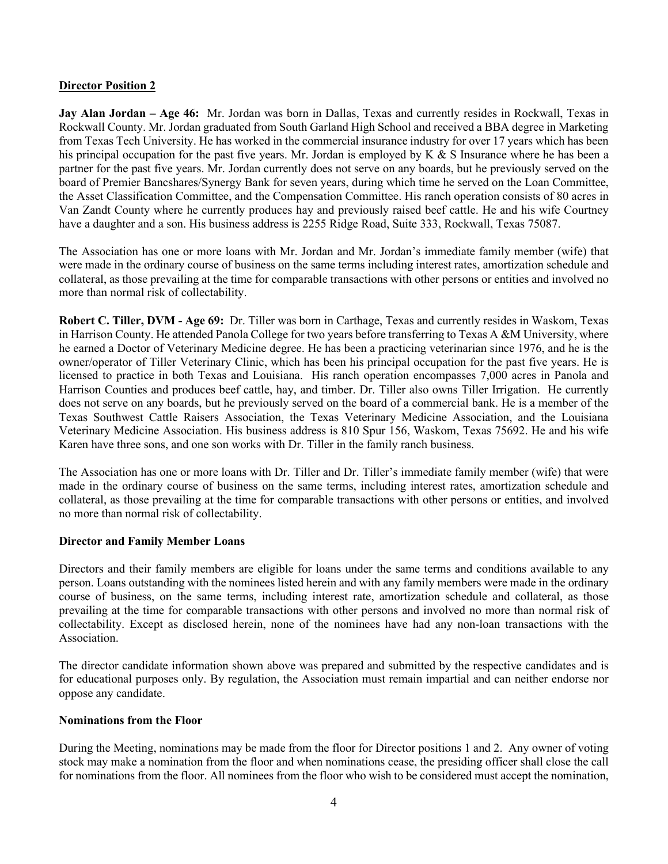#### **Director Position 2**

**Jay Alan Jordan – Age 46:** Mr. Jordan was born in Dallas, Texas and currently resides in Rockwall, Texas in Rockwall County. Mr. Jordan graduated from South Garland High School and received a BBA degree in Marketing from Texas Tech University. He has worked in the commercial insurance industry for over 17 years which has been his principal occupation for the past five years. Mr. Jordan is employed by K & S Insurance where he has been a partner for the past five years. Mr. Jordan currently does not serve on any boards, but he previously served on the board of Premier Bancshares/Synergy Bank for seven years, during which time he served on the Loan Committee, the Asset Classification Committee, and the Compensation Committee. His ranch operation consists of 80 acres in Van Zandt County where he currently produces hay and previously raised beef cattle. He and his wife Courtney have a daughter and a son. His business address is 2255 Ridge Road, Suite 333, Rockwall, Texas 75087.

The Association has one or more loans with Mr. Jordan and Mr. Jordan's immediate family member (wife) that were made in the ordinary course of business on the same terms including interest rates, amortization schedule and collateral, as those prevailing at the time for comparable transactions with other persons or entities and involved no more than normal risk of collectability.

**Robert C. Tiller, DVM - Age 69:** Dr. Tiller was born in Carthage, Texas and currently resides in Waskom, Texas in Harrison County. He attended Panola College for two years before transferring to Texas A &M University, where he earned a Doctor of Veterinary Medicine degree. He has been a practicing veterinarian since 1976, and he is the owner/operator of Tiller Veterinary Clinic, which has been his principal occupation for the past five years. He is licensed to practice in both Texas and Louisiana. His ranch operation encompasses 7,000 acres in Panola and Harrison Counties and produces beef cattle, hay, and timber. Dr. Tiller also owns Tiller Irrigation. He currently does not serve on any boards, but he previously served on the board of a commercial bank. He is a member of the Texas Southwest Cattle Raisers Association, the Texas Veterinary Medicine Association, and the Louisiana Veterinary Medicine Association. His business address is 810 Spur 156, Waskom, Texas 75692. He and his wife Karen have three sons, and one son works with Dr. Tiller in the family ranch business.

The Association has one or more loans with Dr. Tiller and Dr. Tiller's immediate family member (wife) that were made in the ordinary course of business on the same terms, including interest rates, amortization schedule and collateral, as those prevailing at the time for comparable transactions with other persons or entities, and involved no more than normal risk of collectability.

## **Director and Family Member Loans**

Directors and their family members are eligible for loans under the same terms and conditions available to any person. Loans outstanding with the nominees listed herein and with any family members were made in the ordinary course of business, on the same terms, including interest rate, amortization schedule and collateral, as those prevailing at the time for comparable transactions with other persons and involved no more than normal risk of collectability. Except as disclosed herein, none of the nominees have had any non-loan transactions with the Association.

The director candidate information shown above was prepared and submitted by the respective candidates and is for educational purposes only. By regulation, the Association must remain impartial and can neither endorse nor oppose any candidate.

#### **Nominations from the Floor**

During the Meeting, nominations may be made from the floor for Director positions 1 and 2. Any owner of voting stock may make a nomination from the floor and when nominations cease, the presiding officer shall close the call for nominations from the floor. All nominees from the floor who wish to be considered must accept the nomination,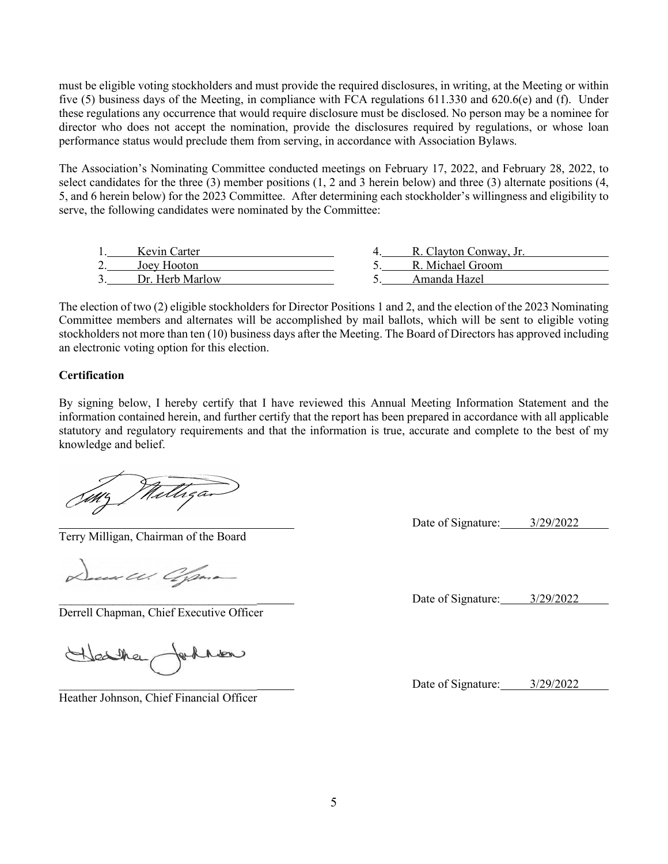must be eligible voting stockholders and must provide the required disclosures, in writing, at the Meeting or within five (5) business days of the Meeting, in compliance with FCA regulations 611.330 and 620.6(e) and (f). Under these regulations any occurrence that would require disclosure must be disclosed. No person may be a nominee for director who does not accept the nomination, provide the disclosures required by regulations, or whose loan performance status would preclude them from serving, in accordance with Association Bylaws.

The Association's Nominating Committee conducted meetings on February 17, 2022, and February 28, 2022, to select candidates for the three (3) member positions (1, 2 and 3 herein below) and three (3) alternate positions (4, 5, and 6 herein below) for the 2023 Committee. After determining each stockholder's willingness and eligibility to serve, the following candidates were nominated by the Committee:

| Kevin Carter    | R. Clayton Conway, Jr. |  |
|-----------------|------------------------|--|
| Joev Hooton     | R. Michael Groom       |  |
| Dr. Herb Marlow | Amanda Hazel           |  |

The election of two (2) eligible stockholders for Director Positions 1 and 2, and the election of the 2023 Nominating Committee members and alternates will be accomplished by mail ballots, which will be sent to eligible voting stockholders not more than ten (10) business days after the Meeting. The Board of Directors has approved including an electronic voting option for this election.

#### **Certification**

By signing below, I hereby certify that I have reviewed this Annual Meeting Information Statement and the information contained herein, and further certify that the report has been prepared in accordance with all applicable statutory and regulatory requirements and that the information is true, accurate and complete to the best of my knowledge and belief.

Milligan

Terry Milligan, Chairman of the Board

uus Ul. Offma-

Derrell Chapman, Chief Executive Officer

Heather behaven

Heather Johnson, Chief Financial Officer

Date of Signature:  $3/29/2022$ 

Date of Signature:  $3/29/2022$ 

Date of Signature: 3/29/2022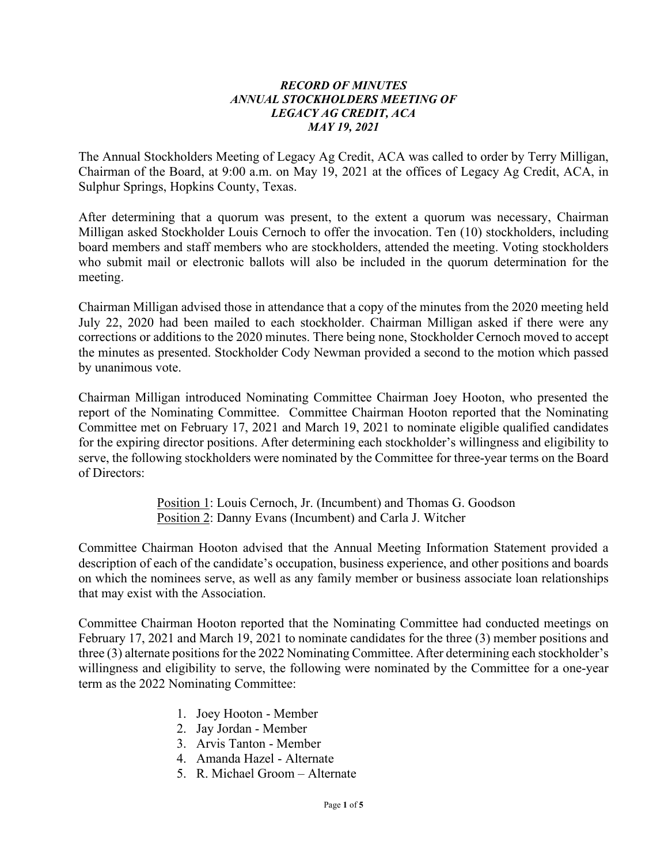# *RECORD OF MINUTES ANNUAL STOCKHOLDERS MEETING OF LEGACY AG CREDIT, ACA MAY 19, 2021*

The Annual Stockholders Meeting of Legacy Ag Credit, ACA was called to order by Terry Milligan, Chairman of the Board, at 9:00 a.m. on May 19, 2021 at the offices of Legacy Ag Credit, ACA, in Sulphur Springs, Hopkins County, Texas.

After determining that a quorum was present, to the extent a quorum was necessary, Chairman Milligan asked Stockholder Louis Cernoch to offer the invocation. Ten (10) stockholders, including board members and staff members who are stockholders, attended the meeting. Voting stockholders who submit mail or electronic ballots will also be included in the quorum determination for the meeting.

Chairman Milligan advised those in attendance that a copy of the minutes from the 2020 meeting held July 22, 2020 had been mailed to each stockholder. Chairman Milligan asked if there were any corrections or additions to the 2020 minutes. There being none, Stockholder Cernoch moved to accept the minutes as presented. Stockholder Cody Newman provided a second to the motion which passed by unanimous vote.

Chairman Milligan introduced Nominating Committee Chairman Joey Hooton, who presented the report of the Nominating Committee. Committee Chairman Hooton reported that the Nominating Committee met on February 17, 2021 and March 19, 2021 to nominate eligible qualified candidates for the expiring director positions. After determining each stockholder's willingness and eligibility to serve, the following stockholders were nominated by the Committee for three-year terms on the Board of Directors:

> Position 1: Louis Cernoch, Jr. (Incumbent) and Thomas G. Goodson Position 2: Danny Evans (Incumbent) and Carla J. Witcher

Committee Chairman Hooton advised that the Annual Meeting Information Statement provided a description of each of the candidate's occupation, business experience, and other positions and boards on which the nominees serve, as well as any family member or business associate loan relationships that may exist with the Association.

Committee Chairman Hooton reported that the Nominating Committee had conducted meetings on February 17, 2021 and March 19, 2021 to nominate candidates for the three (3) member positions and three (3) alternate positions for the 2022 Nominating Committee. After determining each stockholder's willingness and eligibility to serve, the following were nominated by the Committee for a one-year term as the 2022 Nominating Committee:

- 1. Joey Hooton Member
- 2. Jay Jordan Member
- 3. Arvis Tanton Member
- 4. Amanda Hazel Alternate
- 5. R. Michael Groom Alternate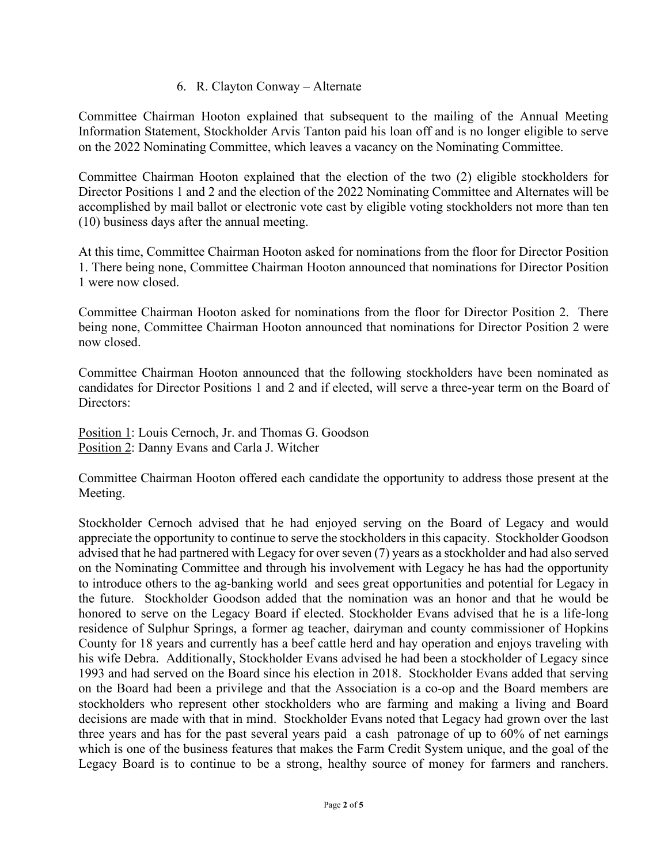# 6. R. Clayton Conway – Alternate

Committee Chairman Hooton explained that subsequent to the mailing of the Annual Meeting Information Statement, Stockholder Arvis Tanton paid his loan off and is no longer eligible to serve on the 2022 Nominating Committee, which leaves a vacancy on the Nominating Committee.

Committee Chairman Hooton explained that the election of the two (2) eligible stockholders for Director Positions 1 and 2 and the election of the 2022 Nominating Committee and Alternates will be accomplished by mail ballot or electronic vote cast by eligible voting stockholders not more than ten (10) business days after the annual meeting.

At this time, Committee Chairman Hooton asked for nominations from the floor for Director Position 1. There being none, Committee Chairman Hooton announced that nominations for Director Position 1 were now closed.

Committee Chairman Hooton asked for nominations from the floor for Director Position 2. There being none, Committee Chairman Hooton announced that nominations for Director Position 2 were now closed.

Committee Chairman Hooton announced that the following stockholders have been nominated as candidates for Director Positions 1 and 2 and if elected, will serve a three-year term on the Board of Directors:

Position 1: Louis Cernoch, Jr. and Thomas G. Goodson Position 2: Danny Evans and Carla J. Witcher

Committee Chairman Hooton offered each candidate the opportunity to address those present at the Meeting.

Stockholder Cernoch advised that he had enjoyed serving on the Board of Legacy and would appreciate the opportunity to continue to serve the stockholders in this capacity. Stockholder Goodson advised that he had partnered with Legacy for over seven (7) years as a stockholder and had also served on the Nominating Committee and through his involvement with Legacy he has had the opportunity to introduce others to the ag-banking world and sees great opportunities and potential for Legacy in the future. Stockholder Goodson added that the nomination was an honor and that he would be honored to serve on the Legacy Board if elected. Stockholder Evans advised that he is a life-long residence of Sulphur Springs, a former ag teacher, dairyman and county commissioner of Hopkins County for 18 years and currently has a beef cattle herd and hay operation and enjoys traveling with his wife Debra. Additionally, Stockholder Evans advised he had been a stockholder of Legacy since 1993 and had served on the Board since his election in 2018. Stockholder Evans added that serving on the Board had been a privilege and that the Association is a co-op and the Board members are stockholders who represent other stockholders who are farming and making a living and Board decisions are made with that in mind. Stockholder Evans noted that Legacy had grown over the last three years and has for the past several years paid a cash patronage of up to 60% of net earnings which is one of the business features that makes the Farm Credit System unique, and the goal of the Legacy Board is to continue to be a strong, healthy source of money for farmers and ranchers.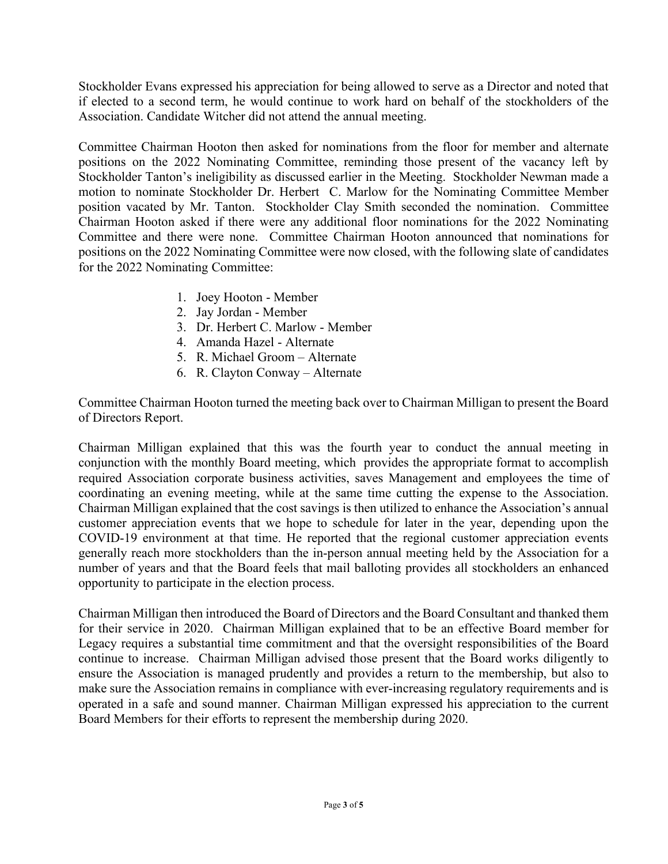Stockholder Evans expressed his appreciation for being allowed to serve as a Director and noted that if elected to a second term, he would continue to work hard on behalf of the stockholders of the Association. Candidate Witcher did not attend the annual meeting.

Committee Chairman Hooton then asked for nominations from the floor for member and alternate positions on the 2022 Nominating Committee, reminding those present of the vacancy left by Stockholder Tanton's ineligibility as discussed earlier in the Meeting. Stockholder Newman made a motion to nominate Stockholder Dr. Herbert C. Marlow for the Nominating Committee Member position vacated by Mr. Tanton. Stockholder Clay Smith seconded the nomination. Committee Chairman Hooton asked if there were any additional floor nominations for the 2022 Nominating Committee and there were none. Committee Chairman Hooton announced that nominations for positions on the 2022 Nominating Committee were now closed, with the following slate of candidates for the 2022 Nominating Committee:

- 1. Joey Hooton Member
- 2. Jay Jordan Member
- 3. Dr. Herbert C. Marlow Member
- 4. Amanda Hazel Alternate
- 5. R. Michael Groom Alternate
- 6. R. Clayton Conway Alternate

Committee Chairman Hooton turned the meeting back over to Chairman Milligan to present the Board of Directors Report.

Chairman Milligan explained that this was the fourth year to conduct the annual meeting in conjunction with the monthly Board meeting, which provides the appropriate format to accomplish required Association corporate business activities, saves Management and employees the time of coordinating an evening meeting, while at the same time cutting the expense to the Association. Chairman Milligan explained that the cost savings is then utilized to enhance the Association's annual customer appreciation events that we hope to schedule for later in the year, depending upon the COVID-19 environment at that time. He reported that the regional customer appreciation events generally reach more stockholders than the in-person annual meeting held by the Association for a number of years and that the Board feels that mail balloting provides all stockholders an enhanced opportunity to participate in the election process.

Chairman Milligan then introduced the Board of Directors and the Board Consultant and thanked them for their service in 2020. Chairman Milligan explained that to be an effective Board member for Legacy requires a substantial time commitment and that the oversight responsibilities of the Board continue to increase. Chairman Milligan advised those present that the Board works diligently to ensure the Association is managed prudently and provides a return to the membership, but also to make sure the Association remains in compliance with ever-increasing regulatory requirements and is operated in a safe and sound manner. Chairman Milligan expressed his appreciation to the current Board Members for their efforts to represent the membership during 2020.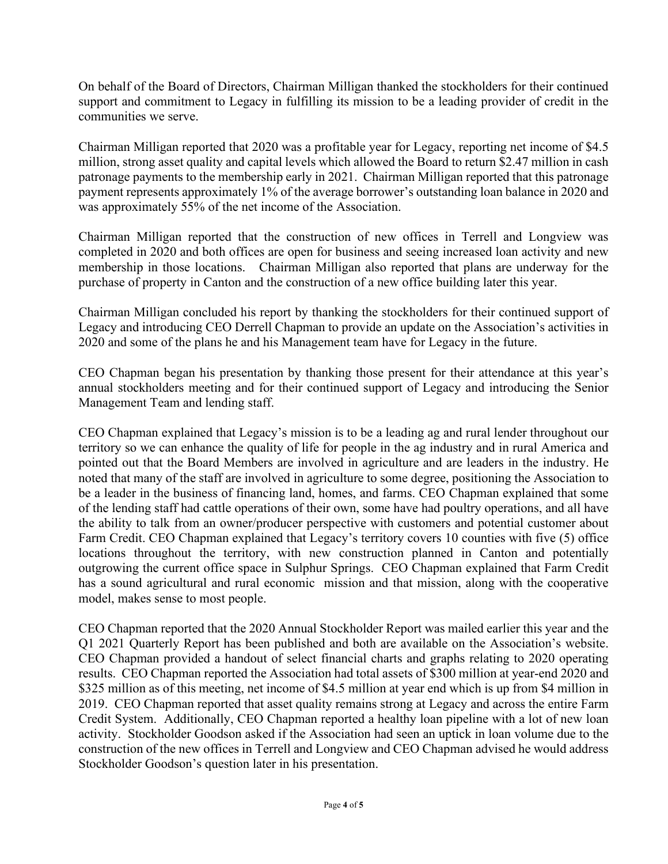On behalf of the Board of Directors, Chairman Milligan thanked the stockholders for their continued support and commitment to Legacy in fulfilling its mission to be a leading provider of credit in the communities we serve.

Chairman Milligan reported that 2020 was a profitable year for Legacy, reporting net income of \$4.5 million, strong asset quality and capital levels which allowed the Board to return \$2.47 million in cash patronage payments to the membership early in 2021. Chairman Milligan reported that this patronage payment represents approximately 1% of the average borrower's outstanding loan balance in 2020 and was approximately 55% of the net income of the Association.

Chairman Milligan reported that the construction of new offices in Terrell and Longview was completed in 2020 and both offices are open for business and seeing increased loan activity and new membership in those locations. Chairman Milligan also reported that plans are underway for the purchase of property in Canton and the construction of a new office building later this year.

Chairman Milligan concluded his report by thanking the stockholders for their continued support of Legacy and introducing CEO Derrell Chapman to provide an update on the Association's activities in 2020 and some of the plans he and his Management team have for Legacy in the future.

CEO Chapman began his presentation by thanking those present for their attendance at this year's annual stockholders meeting and for their continued support of Legacy and introducing the Senior Management Team and lending staff.

CEO Chapman explained that Legacy's mission is to be a leading ag and rural lender throughout our territory so we can enhance the quality of life for people in the ag industry and in rural America and pointed out that the Board Members are involved in agriculture and are leaders in the industry. He noted that many of the staff are involved in agriculture to some degree, positioning the Association to be a leader in the business of financing land, homes, and farms. CEO Chapman explained that some of the lending staff had cattle operations of their own, some have had poultry operations, and all have the ability to talk from an owner/producer perspective with customers and potential customer about Farm Credit. CEO Chapman explained that Legacy's territory covers 10 counties with five (5) office locations throughout the territory, with new construction planned in Canton and potentially outgrowing the current office space in Sulphur Springs. CEO Chapman explained that Farm Credit has a sound agricultural and rural economic mission and that mission, along with the cooperative model, makes sense to most people.

CEO Chapman reported that the 2020 Annual Stockholder Report was mailed earlier this year and the Q1 2021 Quarterly Report has been published and both are available on the Association's website. CEO Chapman provided a handout of select financial charts and graphs relating to 2020 operating results. CEO Chapman reported the Association had total assets of \$300 million at year-end 2020 and \$325 million as of this meeting, net income of \$4.5 million at year end which is up from \$4 million in 2019. CEO Chapman reported that asset quality remains strong at Legacy and across the entire Farm Credit System. Additionally, CEO Chapman reported a healthy loan pipeline with a lot of new loan activity. Stockholder Goodson asked if the Association had seen an uptick in loan volume due to the construction of the new offices in Terrell and Longview and CEO Chapman advised he would address Stockholder Goodson's question later in his presentation.